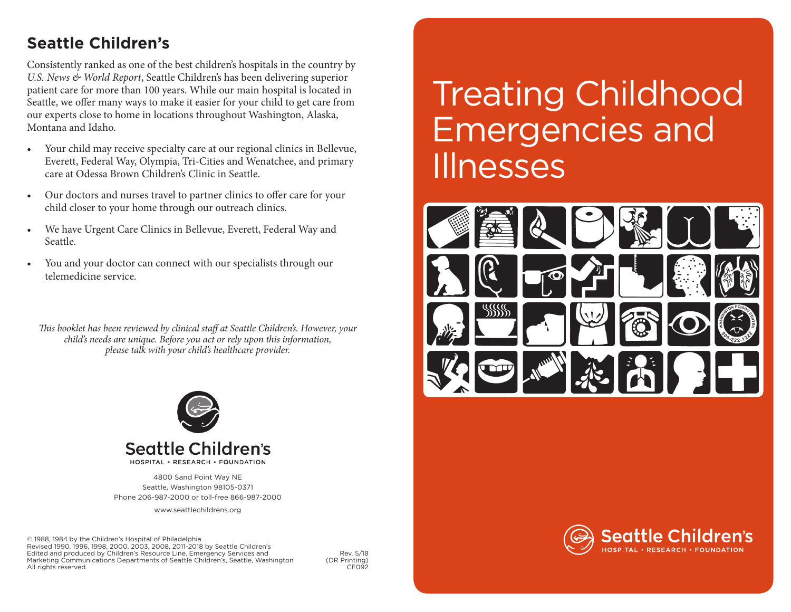## **Seattle Children's**

Consistently ranked as one of the best children's hospitals in the country by *U.S. News & World Report*, Seattle Children's has been delivering superior patient care for more than 100 years. While our main hospital is located in Seattle, we offer many ways to make it easier for your child to get care from our experts close to home in locations throughout Washington, Alaska, Montana and Idaho.

- Your child may receive specialty care at our regional clinics in Bellevue, Everett, Federal Way, Olympia, Tri-Cities and Wenatchee, and primary care at Odessa Brown Children's Clinic in Seattle.
- • Our doctors and nurses travel to partner clinics to offer care for your child closer to your home through our outreach clinics.
- We have Urgent Care Clinics in Bellevue, Everett, Federal Way and Seattle.
- You and your doctor can connect with our specialists through our telemedicine service.

*This booklet has been reviewed by clinical staff at Seattle Children's. However, your child's needs are unique. Before you act or rely upon this information, please talk with your child's healthcare provider.* 



## Seattle Children's

HOSPITAL . RESEARCH . FOUNDATION

4800 Sand Point Way NE Seattle, Washington 98105-0371 Phone 206-987-2000 or toll-free 866-987-2000

www.seattlechildrens.org

© 1988, 1984 by the Children's Hospital of Philadelphia Revised 1990, 1996, 1998, 2000, 2003, 2008, 2011-2018 by Seattle Children's Edited and produced by Children's Resource Line, Emergency Services and Rev. 5/18<br>Marketing Communications Departments of Seattle Children's, Seattle, Washington (DR Printing) Marketing Communications Departments of Seattle Children's, Seattle, Washington (DR Printing)<br>CE092 All rights reserved

# **Treating Childhood** Emergencies and Illnesses



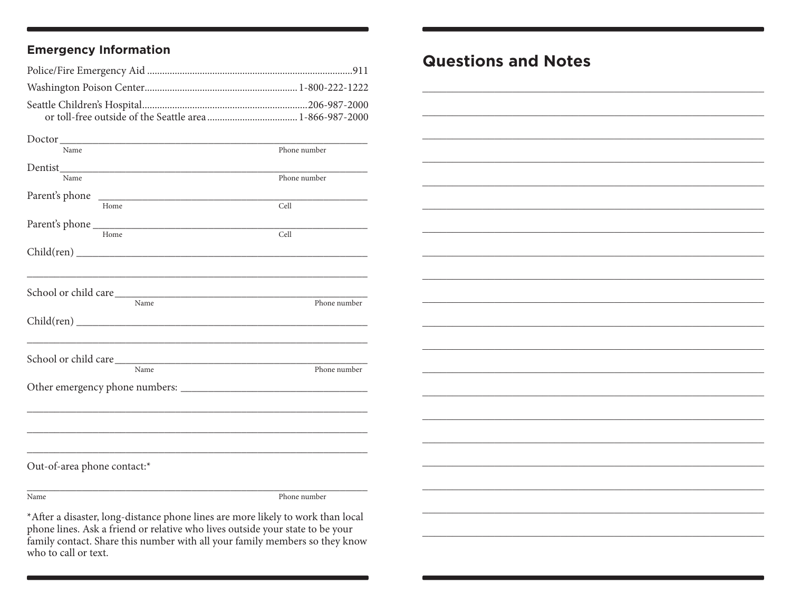### **Emergency Information**

| Name                        | Phone number |
|-----------------------------|--------------|
|                             |              |
| Name                        | Phone number |
|                             |              |
| Home                        | Cell         |
|                             |              |
| Home                        | Cell         |
|                             |              |
|                             |              |
|                             |              |
| $\overline{\text{Name}}$    | Phone number |
|                             |              |
|                             |              |
|                             |              |
| Name                        | Phone number |
|                             |              |
|                             |              |
|                             |              |
|                             |              |
|                             |              |
| Out-of-area phone contact:* |              |
| Name                        | Phone number |

 $^{\star}$  After a disaster, long-distance phone lines are more likely to work than local phone lines. Ask a friend or relative who lives outside your state to be your family contact. Share this number with all your family members so they know who to call or text.

## **Questions and Notes**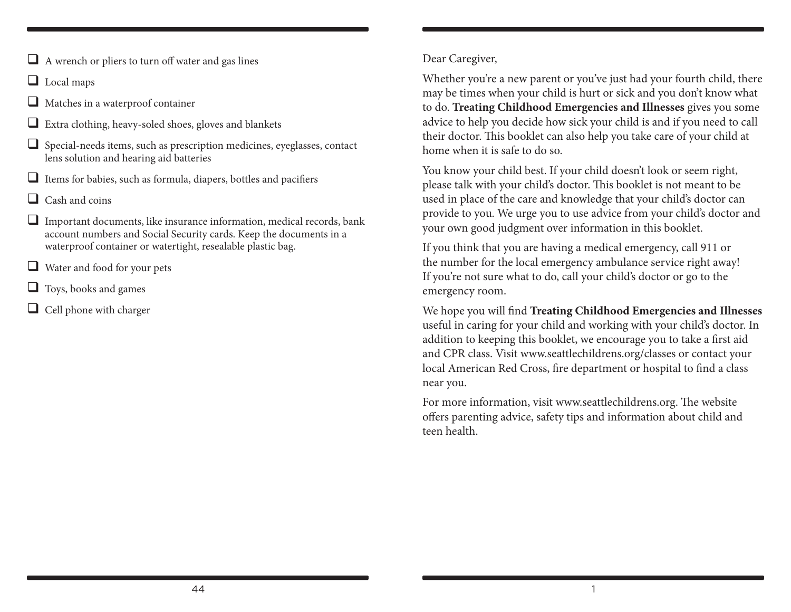- $\Box$  A wrench or pliers to turn off water and gas lines
- Local maps
- $\Box$  Matches in a waterproof container
- $\Box$  Extra clothing, heavy-soled shoes, gloves and blankets
- $\Box$  Special-needs items, such as prescription medicines, eyeglasses, contact lens solution and hearing aid batteries
- $\Box$  Items for babies, such as formula, diapers, bottles and pacifiers
- $\Box$  Cash and coins
- $\Box$  Important documents, like insurance information, medical records, bank account numbers and Social Security cards. Keep the documents in a waterproof container or watertight, resealable plastic bag.
- $\Box$  Water and food for your pets
- $\Box$  Toys, books and games
- $\Box$  Cell phone with charger

#### Dear Caregiver,

Whether you're a new parent or you've just had your fourth child, there may be times when your child is hurt or sick and you don't know what to do. **Treating Childhood Emergencies and Illnesses** gives you some advice to help you decide how sick your child is and if you need to call their doctor. This booklet can also help you take care of your child at home when it is safe to do so.

You know your child best. If your child doesn't look or seem right, please talk with your child's doctor. This booklet is not meant to be used in place of the care and knowledge that your child's doctor can provide to you. We urge you to use advice from your child's doctor and your own good judgment over information in this booklet.

If you think that you are having a medical emergency, call 911 or the number for the local emergency ambulance service right away! If you're not sure what to do, call your child's doctor or go to the emergency room.

We hope you will find **Treating Childhood Emergencies and Illnesses** useful in caring for your child and working with your child's doctor. In addition to keeping this booklet, we encourage you to take a first aid and CPR class. Visit www.seattlechildrens.org/classes or contact your local American Red Cross, fire department or hospital to find a class near you.

For more information, visit www.seattlechildrens.org. The website offers parenting advice, safety tips and information about child and teen health.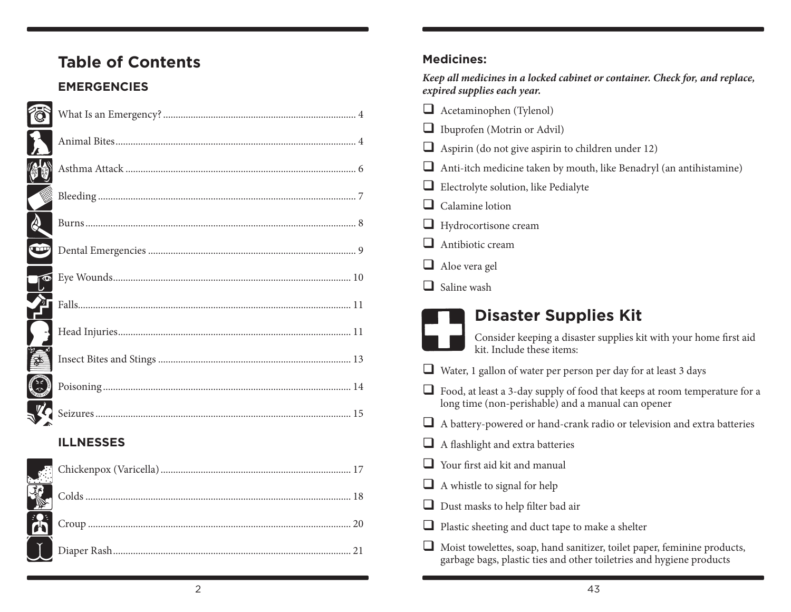## **Table of Contents**

### **EMERGENCIES**

|                                     | <b>ILLNESSES</b>                                                                                                           |  |
|-------------------------------------|----------------------------------------------------------------------------------------------------------------------------|--|
|                                     |                                                                                                                            |  |
| ্য<br>১৯৯                           |                                                                                                                            |  |
| ्<br>क्र                            |                                                                                                                            |  |
|                                     |                                                                                                                            |  |
|                                     | <b>Example 11</b><br><b>Example 11</b><br><b>Example 21</b><br><b>Example 21</b><br><b>Example 21</b><br><b>Example 21</b> |  |
|                                     |                                                                                                                            |  |
| w                                   |                                                                                                                            |  |
| $\sum_{i=1}^{n}$                    |                                                                                                                            |  |
|                                     |                                                                                                                            |  |
|                                     |                                                                                                                            |  |
| $\overline{\mathbf{a}}$<br>$\bf{L}$ |                                                                                                                            |  |
| Ó                                   |                                                                                                                            |  |

#### **Medicines:**

*Keep all medicines in a locked cabinet or container. Check for, and replace, expired supplies each year.*

- Acetaminophen (Tylenol)
- Ibuprofen (Motrin or Advil)
- $\Box$  Aspirin (do not give aspirin to children under 12)
- $\Box$  Anti-itch medicine taken by mouth, like Benadryl (an antihistamine)
- Electrolyte solution, like Pedialyte
- $\Box$  Calamine lotion
- Hydrocortisone cream
- $\Box$  Antibiotic cream
- Aloe vera gel
- $\Box$  Saline wash

## **Disaster Supplies Kit**

- Consider keeping a disaster supplies kit with your home first aid kit. Include these items:
- $\Box$  Water, 1 gallon of water per person per day for at least 3 days
- Food, at least a 3-day supply of food that keeps at room temperature for a long time (non-perishable) and a manual can opener
- $\Box$  A battery-powered or hand-crank radio or television and extra batteries
- $\Box$  A flashlight and extra batteries
- Your first aid kit and manual
- $\Box$  A whistle to signal for help
- Dust masks to help filter bad air
- $\Box$  Plastic sheeting and duct tape to make a shelter
- Moist towelettes, soap, hand sanitizer, toilet paper, feminine products, garbage bags, plastic ties and other toiletries and hygiene products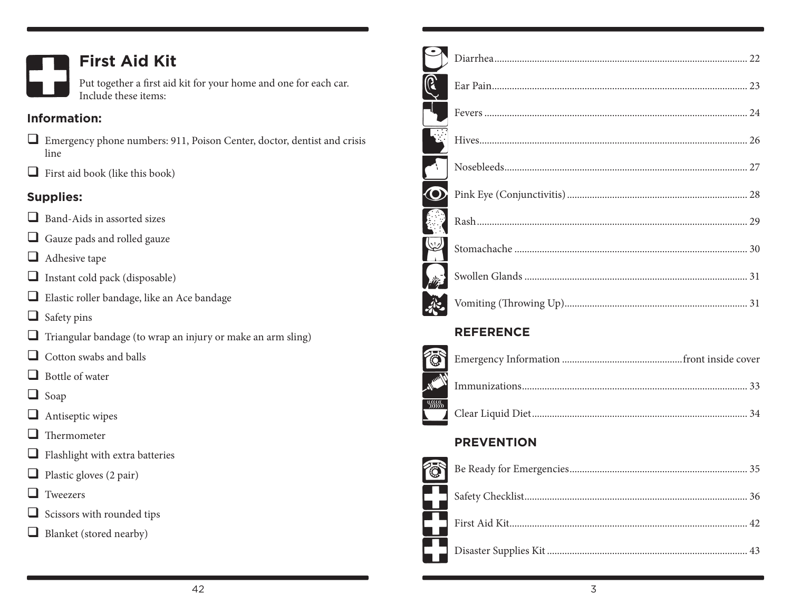

## **First Aid Kit**

Put together a first aid kit for your home and one for each car. Include these items:

### **Information:**

- Emergency phone numbers: 911, Poison Center, doctor, dentist and crisis line
- $\Box$  First aid book (like this book)

### **Supplies:**

- Band-Aids in assorted sizes
- Gauze pads and rolled gauze
- **Adhesive tape**
- $\Box$  Instant cold pack (disposable)
- Elastic roller bandage, like an Ace bandage
- $\Box$  Safety pins
- $\Box$  Triangular bandage (to wrap an injury or make an arm sling)
- $\Box$  Cotton swabs and balls
- $\Box$  Bottle of water
- **O** Soap
- **Antiseptic wipes**
- $\Box$  Thermometer
- $\Box$  Flashlight with extra batteries
- $\Box$  Plastic gloves (2 pair)
- **T** Tweezers
- $\Box$  Scissors with rounded tips
- Blanket (stored nearby)

| $\bf{O}$ |    |
|----------|----|
|          |    |
|          |    |
|          |    |
|          | 31 |

### **REFERENCE**

| $\mathbf{L}$ |  |
|--------------|--|

### **PREVENTION**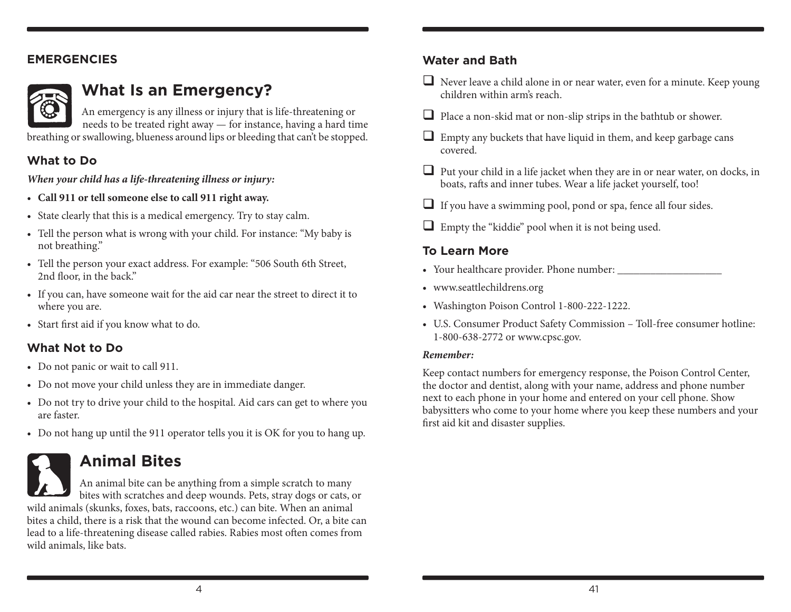#### **EMERGENCIES**



## **What Is an Emergency?**

An emergency is any illness or injury that is life-threatening or needs to be treated right away — for instance, having a hard time breathing or swallowing, blueness around lips or bleeding that can't be stopped.

#### **What to Do**

*When your child has a life-threatening illness or injury:*

- • **Call 911 or tell someone else to call 911 right away.**
- State clearly that this is a medical emergency. Try to stay calm.
- • Tell the person what is wrong with your child. For instance: "My baby is not breathing."
- • Tell the person your exact address. For example: "506 South 6th Street, 2nd floor, in the back."
- If you can, have someone wait for the aid car near the street to direct it to where you are.
- Start first aid if you know what to do.

### **What Not to Do**

- Do not panic or wait to call 911.
- Do not move your child unless they are in immediate danger.
- Do not try to drive your child to the hospital. Aid cars can get to where you are faster.
- Do not hang up until the 911 operator tells you it is OK for you to hang up.

## **Animal Bites**

An animal bite can be anything from a simple scratch to many bites with scratches and deep wounds. Pets, stray dogs or cats, or wild animals (skunks, foxes, bats, raccoons, etc.) can bite. When an animal bites a child, there is a risk that the wound can become infected. Or, a bite can lead to a life-threatening disease called rabies. Rabies most often comes from wild animals, like bats.

### **Water and Bath**

- $\Box$  Never leave a child alone in or near water, even for a minute. Keep young children within arm's reach.
- $\Box$  Place a non-skid mat or non-slip strips in the bathtub or shower.
- Empty any buckets that have liquid in them, and keep garbage cans covered.
- $\Box$  Put your child in a life jacket when they are in or near water, on docks, in boats, rafts and inner tubes. Wear a life jacket yourself, too!
- $\Box$  If you have a swimming pool, pond or spa, fence all four sides.
- Empty the "kiddie" pool when it is not being used.

### **To Learn More**

- • Your healthcare provider. Phone number: \_\_\_\_\_\_\_\_\_\_\_\_\_\_\_\_\_\_\_
- • www.seattlechildrens.org
- • Washington Poison Control 1-800-222-1222.
- • U.S. Consumer Product Safety Commission Toll-free consumer hotline: 1-800-638-2772 or www.cpsc.gov.

#### *Remember:*

Keep contact numbers for emergency response, the Poison Control Center, the doctor and dentist, along with your name, address and phone number next to each phone in your home and entered on your cell phone. Show babysitters who come to your home where you keep these numbers and your first aid kit and disaster supplies.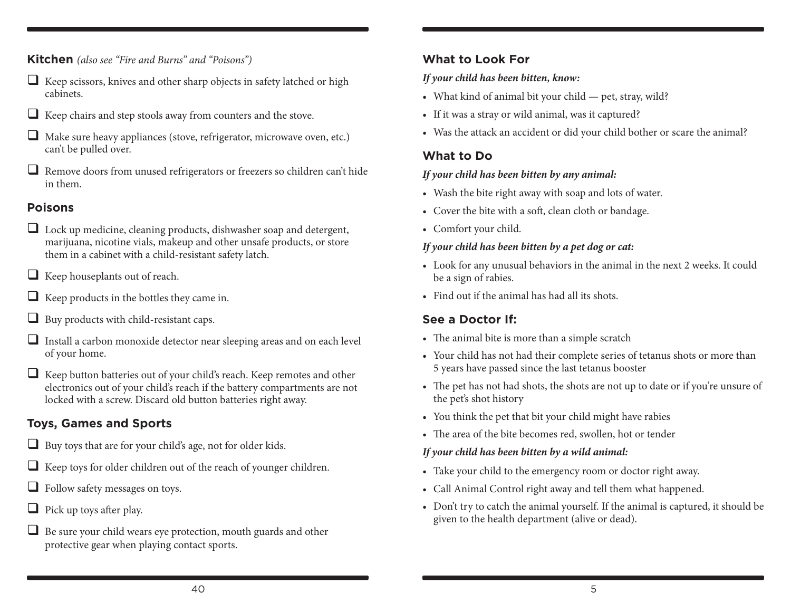**Kitchen** *(also see "Fire and Burns" and "Poisons")*

- $\Box$  Keep scissors, knives and other sharp objects in safety latched or high cabinets.
- $\Box$  Keep chairs and step stools away from counters and the stove.
- $\Box$  Make sure heavy appliances (stove, refrigerator, microwave oven, etc.) can't be pulled over.
- $\Box$  Remove doors from unused refrigerators or freezers so children can't hide in them.

#### **Poisons**

- Lock up medicine, cleaning products, dishwasher soap and detergent, marijuana, nicotine vials, makeup and other unsafe products, or store them in a cabinet with a child-resistant safety latch.
- $\Box$  Keep houseplants out of reach.
- $\Box$  Keep products in the bottles they came in.
- $\Box$  Buy products with child-resistant caps.
- Install a carbon monoxide detector near sleeping areas and on each level of your home.
- $\Box$  Keep button batteries out of your child's reach. Keep remotes and other electronics out of your child's reach if the battery compartments are not locked with a screw. Discard old button batteries right away.

### **Toys, Games and Sports**

- $\Box$  Buy toys that are for your child's age, not for older kids.
- $\Box$  Keep toys for older children out of the reach of younger children.
- **Follow safety messages on toys.**
- $\Box$  Pick up toys after play.
- $\Box$  Be sure your child wears eye protection, mouth guards and other protective gear when playing contact sports.

#### **What to Look For**

#### *If your child has been bitten, know:*

- What kind of animal bit your child pet, stray, wild?
- If it was a stray or wild animal, was it captured?
- Was the attack an accident or did your child bother or scare the animal?

#### **What to Do**

#### *If your child has been bitten by any animal:*

- Wash the bite right away with soap and lots of water.
- Cover the bite with a soft, clean cloth or bandage.
- • Comfort your child.

#### *If your child has been bitten by a pet dog or cat:*

- Look for any unusual behaviors in the animal in the next 2 weeks. It could be a sign of rabies.
- Find out if the animal has had all its shots.

### **See a Doctor If:**

- The animal bite is more than a simple scratch
- Your child has not had their complete series of tetanus shots or more than 5 years have passed since the last tetanus booster
- The pet has not had shots, the shots are not up to date or if you're unsure of the pet's shot history
- You think the pet that bit your child might have rabies
- The area of the bite becomes red, swollen, hot or tender

#### *If your child has been bitten by a wild animal:*

- Take your child to the emergency room or doctor right away.
- • Call Animal Control right away and tell them what happened.
- Don't try to catch the animal yourself. If the animal is captured, it should be given to the health department (alive or dead).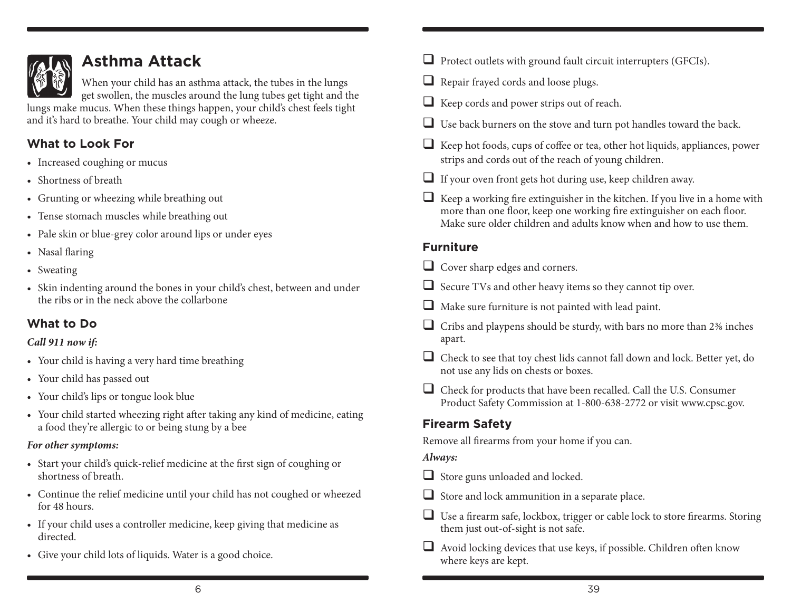

## **Asthma Attack**

When your child has an asthma attack, the tubes in the lungs get swollen, the muscles around the lung tubes get tight and the

lungs make mucus. When these things happen, your child's chest feels tight and it's hard to breathe. Your child may cough or wheeze.

### **What to Look For**

- Increased coughing or mucus
- Shortness of breath
- Grunting or wheezing while breathing out
- Tense stomach muscles while breathing out
- Pale skin or blue-grey color around lips or under eyes
- Nasal flaring
- Sweating
- Skin indenting around the bones in your child's chest, between and under the ribs or in the neck above the collarbone

### **What to Do**

#### *Call 911 now if:*

- Your child is having a very hard time breathing
- • Your child has passed out
- Your child's lips or tongue look blue
- Your child started wheezing right after taking any kind of medicine, eating a food they're allergic to or being stung by a bee

#### *For other symptoms:*

- Start your child's quick-relief medicine at the first sign of coughing or shortness of breath.
- • Continue the relief medicine until your child has not coughed or wheezed for 48 hours.
- If your child uses a controller medicine, keep giving that medicine as directed.
- Give your child lots of liquids. Water is a good choice.
- $\Box$  Protect outlets with ground fault circuit interrupters (GFCIs).
- $\Box$  Repair frayed cords and loose plugs.
- Keep cords and power strips out of reach.
- $\Box$  Use back burners on the stove and turn pot handles toward the back.
- $\Box$  Keep hot foods, cups of coffee or tea, other hot liquids, appliances, power strips and cords out of the reach of young children.
- If your oven front gets hot during use, keep children away.
- $\Box$  Keep a working fire extinguisher in the kitchen. If you live in a home with more than one floor, keep one working fire extinguisher on each floor. Make sure older children and adults know when and how to use them.

### **Furniture**

Cover sharp edges and corners.

- $\Box$  Secure TVs and other heavy items so they cannot tip over.
- $\Box$  Make sure furniture is not painted with lead paint.
- $\Box$  Cribs and playpens should be sturdy, with bars no more than 2% inches apart.
- $\Box$  Check to see that toy chest lids cannot fall down and lock. Better yet, do not use any lids on chests or boxes.
- Check for products that have been recalled. Call the U.S. Consumer Product Safety Commission at 1-800-638-2772 or visit www.cpsc.gov.

### **Firearm Safety**

Remove all firearms from your home if you can.

### *Always:*

- $\Box$  Store guns unloaded and locked.
- $\Box$  Store and lock ammunition in a separate place.
- $\Box$  Use a firearm safe, lockbox, trigger or cable lock to store firearms. Storing them just out-of-sight is not safe.
- $\Box$  Avoid locking devices that use keys, if possible. Children often know where keys are kept.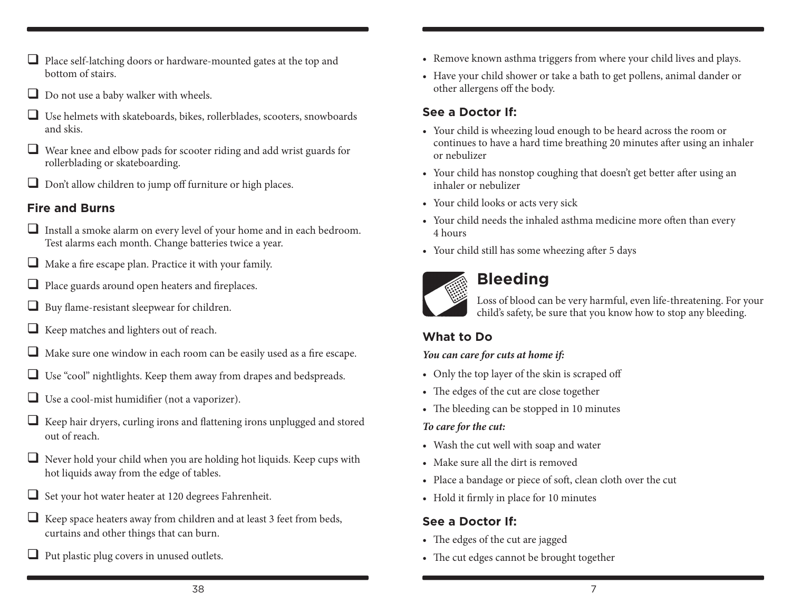- $\Box$  Place self-latching doors or hardware-mounted gates at the top and bottom of stairs.
- Do not use a baby walker with wheels.
- Use helmets with skateboards, bikes, rollerblades, scooters, snowboards and skis.
- Wear knee and elbow pads for scooter riding and add wrist guards for rollerblading or skateboarding.
- $\Box$  Don't allow children to jump off furniture or high places.

#### **Fire and Burns**

- $\Box$  Install a smoke alarm on every level of your home and in each bedroom. Test alarms each month. Change batteries twice a year.
- $\Box$  Make a fire escape plan. Practice it with your family.
- $\Box$  Place guards around open heaters and fireplaces.
- $\Box$  Buy flame-resistant sleepwear for children.
- $\Box$  Keep matches and lighters out of reach.
- $\Box$  Make sure one window in each room can be easily used as a fire escape.
- $\Box$  Use "cool" nightlights. Keep them away from drapes and bedspreads.
- $\Box$  Use a cool-mist humidifier (not a vaporizer).
- $\Box$  Keep hair dryers, curling irons and flattening irons unplugged and stored out of reach.
- $\Box$  Never hold your child when you are holding hot liquids. Keep cups with hot liquids away from the edge of tables.
- $\Box$  Set your hot water heater at 120 degrees Fahrenheit.
- $\Box$  Keep space heaters away from children and at least 3 feet from beds, curtains and other things that can burn.
- $\Box$  Put plastic plug covers in unused outlets.
- Remove known asthma triggers from where your child lives and plays.
- • Have your child shower or take a bath to get pollens, animal dander or other allergens off the body.

#### **See a Doctor If:**

- Your child is wheezing loud enough to be heard across the room or continues to have a hard time breathing 20 minutes after using an inhaler or nebulizer
- • Your child has nonstop coughing that doesn't get better after using an inhaler or nebulizer
- Your child looks or acts very sick
- Your child needs the inhaled asthma medicine more often than every 4 hours
- • Your child still has some wheezing after 5 days



## **Bleeding**

Loss of blood can be very harmful, even life-threatening. For your child's safety, be sure that you know how to stop any bleeding.

### **What to Do**

#### *You can care for cuts at home if:*

- Only the top layer of the skin is scraped off
- The edges of the cut are close together
- The bleeding can be stopped in 10 minutes

#### *To care for the cut:*

- • Wash the cut well with soap and water
- Make sure all the dirt is removed
- • Place a bandage or piece of soft, clean cloth over the cut
- Hold it firmly in place for 10 minutes

#### **See a Doctor If:**

- The edges of the cut are jagged
- The cut edges cannot be brought together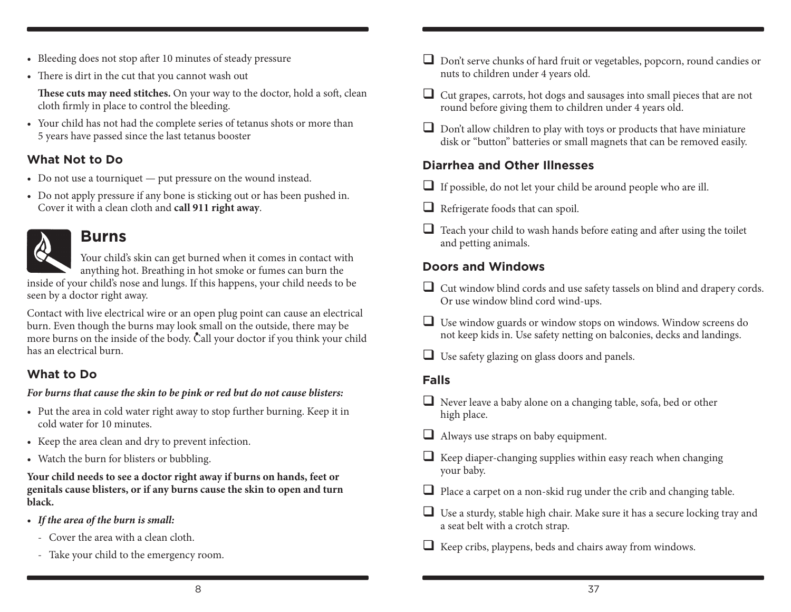- Bleeding does not stop after 10 minutes of steady pressure
- There is dirt in the cut that you cannot wash out

**These cuts may need stitches.** On your way to the doctor, hold a soft, clean cloth firmly in place to control the bleeding.

• Your child has not had the complete series of tetanus shots or more than 5 years have passed since the last tetanus booster

#### **What Not to Do**

- Do not use a tourniquet put pressure on the wound instead.
- Do not apply pressure if any bone is sticking out or has been pushed in. Cover it with a clean cloth and **call 911 right away**.



### **Burns**

Your child's skin can get burned when it comes in contact with anything hot. Breathing in hot smoke or fumes can burn the

inside of your child's nose and lungs. If this happens, your child needs to be seen by a doctor right away.

Contact with live electrical wire or an open plug point can cause an electrical burn. Even though the burns may look small on the outside, there may be Furthermore burns on the inside of the body. Call your doctor if you think your child has an electrical burn.

### **What to Do**

#### *For burns that cause the skin to be pink or red but do not cause blisters:*

- • Put the area in cold water right away to stop further burning. Keep it in cold water for 10 minutes.
- • Keep the area clean and dry to prevent infection.
- Watch the burn for blisters or bubbling.

**Your child needs to see a doctor right away if burns on hands, feet or genitals cause blisters, or if any burns cause the skin to open and turn black.**

- • *If the area of the burn is small:*
	- Cover the area with a clean cloth.
	- Take your child to the emergency room.
- $\Box$  Don't serve chunks of hard fruit or vegetables, popcorn, round candies or nuts to children under 4 years old.
- $\Box$  Cut grapes, carrots, hot dogs and sausages into small pieces that are not round before giving them to children under 4 years old.
- $\Box$  Don't allow children to play with toys or products that have miniature disk or "button" batteries or small magnets that can be removed easily.

### **Diarrhea and Other Illnesses**

- $\Box$  If possible, do not let your child be around people who are ill.
- $\Box$  Refrigerate foods that can spoil.
- $\Box$  Teach your child to wash hands before eating and after using the toilet and petting animals.

### **Doors and Windows**

- $\Box$  Cut window blind cords and use safety tassels on blind and drapery cords. Or use window blind cord wind-ups.
- Use window guards or window stops on windows. Window screens do not keep kids in. Use safety netting on balconies, decks and landings.
- $\Box$  Use safety glazing on glass doors and panels.

### **Falls**

- Never leave a baby alone on a changing table, sofa, bed or other high place.
- Always use straps on baby equipment.
- $\Box$  Keep diaper-changing supplies within easy reach when changing your baby.
- $\Box$  Place a carpet on a non-skid rug under the crib and changing table.
- $\Box$  Use a sturdy, stable high chair. Make sure it has a secure locking tray and a seat belt with a crotch strap.
- $\Box$  Keep cribs, playpens, beds and chairs away from windows.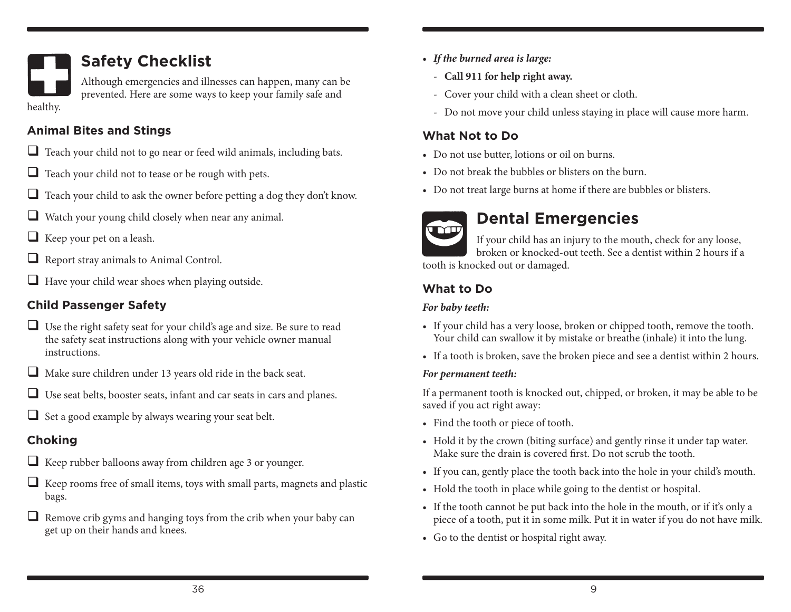

## **Safety Checklist**

Although emergencies and illnesses can happen, many can be prevented. Here are some ways to keep your family safe and

#### **Animal Bites and Stings**

- $\Box$  Teach your child not to go near or feed wild animals, including bats.
- $\Box$  Teach your child not to tease or be rough with pets.
- $\Box$  Teach your child to ask the owner before petting a dog they don't know.
- $\Box$  Watch your young child closely when near any animal.
- $\Box$  Keep your pet on a leash.
- Report stray animals to Animal Control.
- $\Box$  Have your child wear shoes when playing outside.

### **Child Passenger Safety**

- $\Box$  Use the right safety seat for your child's age and size. Be sure to read the safety seat instructions along with your vehicle owner manual instructions.
- $\Box$  Make sure children under 13 years old ride in the back seat.
- Use seat belts, booster seats, infant and car seats in cars and planes.
- $\Box$  Set a good example by always wearing your seat belt.

### **Choking**

- $\Box$  Keep rubber balloons away from children age 3 or younger.
- $\Box$  Keep rooms free of small items, toys with small parts, magnets and plastic bags.
- $\Box$  Remove crib gyms and hanging toys from the crib when your baby can get up on their hands and knees.
- • *If the burned area is large:*
	- **Call 911 for help right away.**
	- Cover your child with a clean sheet or cloth.
	- Do not move your child unless staying in place will cause more harm.

### **What Not to Do**

- • Do not use butter, lotions or oil on burns.
- Do not break the bubbles or blisters on the burn.
- Do not treat large burns at home if there are bubbles or blisters.



## **Dental Emergencies**

If your child has an injury to the mouth, check for any loose, broken or knocked-out teeth. See a dentist within 2 hours if a tooth is knocked out or damaged.

### **What to Do**

#### *For baby teeth:*

- If your child has a very loose, broken or chipped tooth, remove the tooth. Your child can swallow it by mistake or breathe (inhale) it into the lung.
- If a tooth is broken, save the broken piece and see a dentist within 2 hours.

#### *For permanent teeth:*

If a permanent tooth is knocked out, chipped, or broken, it may be able to be saved if you act right away:

- Find the tooth or piece of tooth.
- Hold it by the crown (biting surface) and gently rinse it under tap water. Make sure the drain is covered first. Do not scrub the tooth.
- • If you can, gently place the tooth back into the hole in your child's mouth.
- Hold the tooth in place while going to the dentist or hospital.
- If the tooth cannot be put back into the hole in the mouth, or if it's only a piece of a tooth, put it in some milk. Put it in water if you do not have milk.
- Go to the dentist or hospital right away.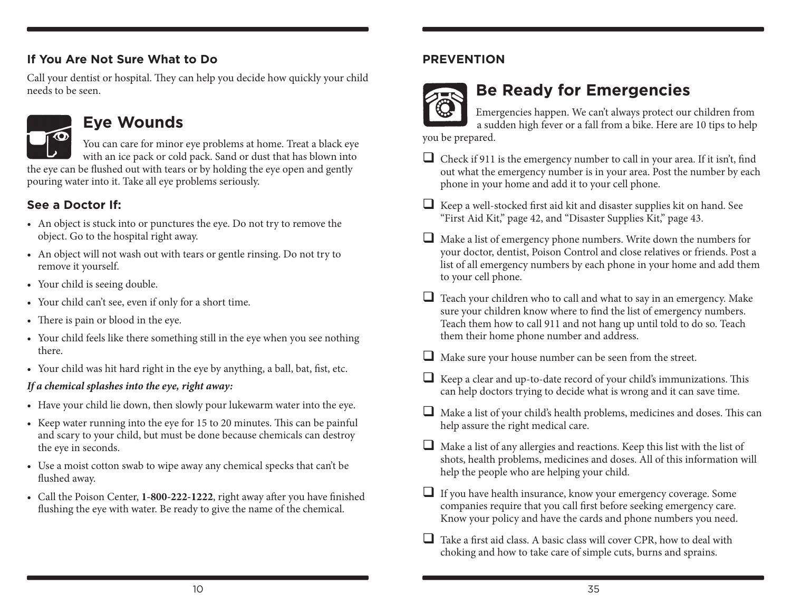#### **If You Are Not Sure What to Do**

Call your dentist or hospital. They can help you decide how quickly your child needs to be seen.



## **Eye Wounds**

You can care for minor eye problems at home. Treat a black eye with an ice pack or cold pack. Sand or dust that has blown into the eye can be flushed out with tears or by holding the eye open and gently pouring water into it. Take all eye problems seriously.

### **See a Doctor If:**

- An object is stuck into or punctures the eye. Do not try to remove the object. Go to the hospital right away.
- An object will not wash out with tears or gentle rinsing. Do not try to remove it yourself.
- Your child is seeing double.
- • Your child can't see, even if only for a short time.
- There is pain or blood in the eye.
- Your child feels like there something still in the eye when you see nothing there.
- Your child was hit hard right in the eye by anything, a ball, bat, fist, etc.

#### *If a chemical splashes into the eye, right away:*

- Have your child lie down, then slowly pour lukewarm water into the eye.
- • Keep water running into the eye for 15 to 20 minutes. This can be painful and scary to your child, but must be done because chemicals can destroy the eye in seconds.
- • Use a moist cotton swab to wipe away any chemical specks that can't be flushed away.
- • Call the Poison Center, **1-800-222-1222**, right away after you have finished flushing the eye with water. Be ready to give the name of the chemical.

### **PREVENTION**



## **Be Ready for Emergencies**

Emergencies happen. We can't always protect our children from a sudden high fever or a fall from a bike. Here are 10 tips to help you be prepared.

- $\Box$  Check if 911 is the emergency number to call in your area. If it isn't, find out what the emergency number is in your area. Post the number by each phone in your home and add it to your cell phone.
- $\Box$  Keep a well-stocked first aid kit and disaster supplies kit on hand. See "First Aid Kit," page 42, and "Disaster Supplies Kit," page 43.
- Make a list of emergency phone numbers. Write down the numbers for your doctor, dentist, Poison Control and close relatives or friends. Post a list of all emergency numbers by each phone in your home and add them to your cell phone.
- $\Box$  Teach your children who to call and what to say in an emergency. Make sure your children know where to find the list of emergency numbers. Teach them how to call 911 and not hang up until told to do so. Teach them their home phone number and address.
- $\Box$  Make sure your house number can be seen from the street.
- Keep a clear and up-to-date record of your child's immunizations. This can help doctors trying to decide what is wrong and it can save time.
- $\Box$  Make a list of your child's health problems, medicines and doses. This can help assure the right medical care.
- $\Box$  Make a list of any allergies and reactions. Keep this list with the list of shots, health problems, medicines and doses. All of this information will help the people who are helping your child.
- $\Box$  If you have health insurance, know your emergency coverage. Some companies require that you call first before seeking emergency care. Know your policy and have the cards and phone numbers you need.
- $\Box$  Take a first aid class. A basic class will cover CPR, how to deal with choking and how to take care of simple cuts, burns and sprains.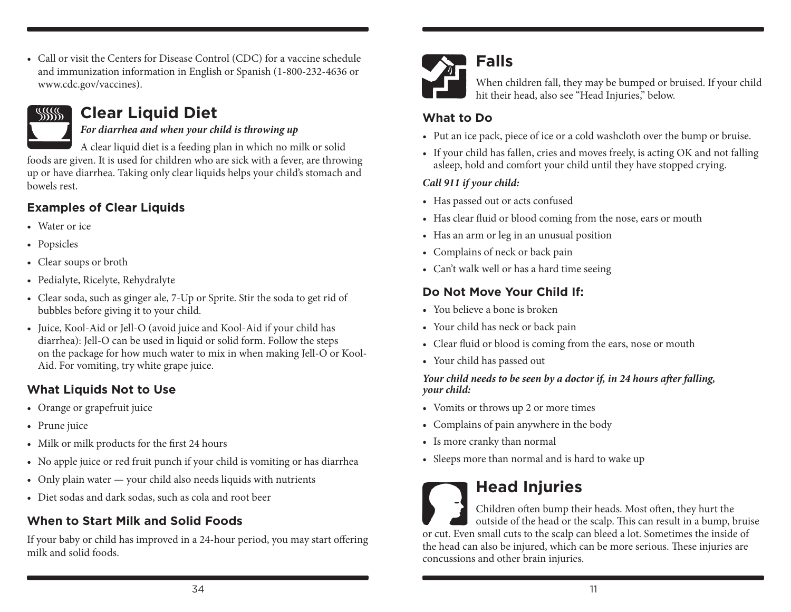• Call or visit the Centers for Disease Control (CDC) for a vaccine schedule and immunization information in English or Spanish (1-800-232-4636 or www.cdc.gov/vaccines).

#### **Clear Liquid Diet**   $\frac{1}{2}$

#### *For diarrhea and when your child is throwing up*

A clear liquid diet is a feeding plan in which no milk or solid foods are given. It is used for children who are sick with a fever, are throwing up or have diarrhea. Taking only clear liquids helps your child's stomach and bowels rest.

### **Examples of Clear Liquids**

- Water or ice
- Popsicles
- • Clear soups or broth
- • Pedialyte, Ricelyte, Rehydralyte
- Clear soda, such as ginger ale, 7-Up or Sprite. Stir the soda to get rid of bubbles before giving it to your child.
- Juice, Kool-Aid or Jell-O (avoid juice and Kool-Aid if your child has diarrhea): Jell-O can be used in liquid or solid form. Follow the steps on the package for how much water to mix in when making Jell-O or Kool-Aid. For vomiting, try white grape juice.

### **What Liquids Not to Use**

- • Orange or grapefruit juice
- Prune juice
- Milk or milk products for the first 24 hours
- No apple juice or red fruit punch if your child is vomiting or has diarrhea
- Only plain water your child also needs liquids with nutrients
- Diet sodas and dark sodas, such as cola and root beer

## **When to Start Milk and Solid Foods**

If your baby or child has improved in a 24-hour period, you may start offering milk and solid foods.



## **Falls**

When children fall, they may be bumped or bruised. If your child hit their head, also see "Head Injuries," below.

### **What to Do**

- Put an ice pack, piece of ice or a cold washcloth over the bump or bruise.
- If your child has fallen, cries and moves freely, is acting OK and not falling asleep, hold and comfort your child until they have stopped crying.

### *Call 911 if your child:*

- Has passed out or acts confused
- Has clear fluid or blood coming from the nose, ears or mouth
- Has an arm or leg in an unusual position
- • Complains of neck or back pain
- • Can't walk well or has a hard time seeing

### **Do Not Move Your Child If:**

- You believe a bone is broken
- • Your child has neck or back pain
- Clear fluid or blood is coming from the ears, nose or mouth
- • Your child has passed out

#### *Your child needs to be seen by a doctor if, in 24 hours after falling, your child:*

- • Vomits or throws up 2 or more times
- Complains of pain anywhere in the body
- Is more cranky than normal
- Sleeps more than normal and is hard to wake up

## **Head Injuries**

Children often bump their heads. Most often, they hurt the outside of the head or the scalp. This can result in a bump, bruise or cut. Even small cuts to the scalp can bleed a lot. Sometimes the inside of the head can also be injured, which can be more serious. These injuries are concussions and other brain injuries.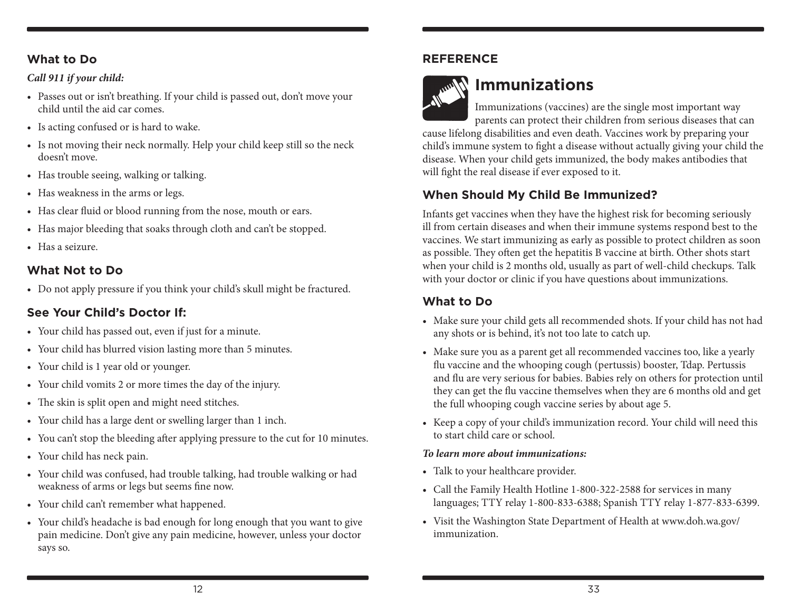#### **What to Do**

#### *Call 911 if your child:*

- Passes out or isn't breathing. If your child is passed out, don't move your child until the aid car comes.
- Is acting confused or is hard to wake.
- Is not moving their neck normally. Help your child keep still so the neck doesn't move.
- Has trouble seeing, walking or talking.
- Has weakness in the arms or legs.
- Has clear fluid or blood running from the nose, mouth or ears.
- Has major bleeding that soaks through cloth and can't be stopped.
- Has a seizure.

### **What Not to Do**

• Do not apply pressure if you think your child's skull might be fractured.

### **See Your Child's Doctor If:**

- • Your child has passed out, even if just for a minute.
- Your child has blurred vision lasting more than 5 minutes.
- • Your child is 1 year old or younger.
- • Your child vomits 2 or more times the day of the injury.
- The skin is split open and might need stitches.
- • Your child has a large dent or swelling larger than 1 inch.
- You can't stop the bleeding after applying pressure to the cut for 10 minutes.
- Your child has neck pain.
- • Your child was confused, had trouble talking, had trouble walking or had weakness of arms or legs but seems fine now.
- • Your child can't remember what happened.
- Your child's headache is bad enough for long enough that you want to give pain medicine. Don't give any pain medicine, however, unless your doctor says so.

#### **REFERENCE**



## **Immunizations**

Immunizations (vaccines) are the single most important way parents can protect their children from serious diseases that can

cause lifelong disabilities and even death. Vaccines work by preparing your child's immune system to fight a disease without actually giving your child the disease. When your child gets immunized, the body makes antibodies that will fight the real disease if ever exposed to it.

### **When Should My Child Be Immunized?**

Infants get vaccines when they have the highest risk for becoming seriously ill from certain diseases and when their immune systems respond best to the vaccines. We start immunizing as early as possible to protect children as soon as possible. They often get the hepatitis B vaccine at birth. Other shots start when your child is 2 months old, usually as part of well-child checkups. Talk with your doctor or clinic if you have questions about immunizations.

### **What to Do**

- Make sure your child gets all recommended shots. If your child has not had any shots or is behind, it's not too late to catch up.
- Make sure you as a parent get all recommended vaccines too, like a yearly flu vaccine and the whooping cough (pertussis) booster, Tdap. Pertussis and flu are very serious for babies. Babies rely on others for protection until they can get the flu vaccine themselves when they are 6 months old and get the full whooping cough vaccine series by about age 5.
- • Keep a copy of your child's immunization record. Your child will need this to start child care or school.

#### *To learn more about immunizations:*

- Talk to your healthcare provider.
- • Call the Family Health Hotline 1-800-322-2588 for services in many languages; TTY relay 1-800-833-6388; Spanish TTY relay 1-877-833-6399.
- • Visit the Washington State Department of Health at www.doh.wa.gov/ immunization.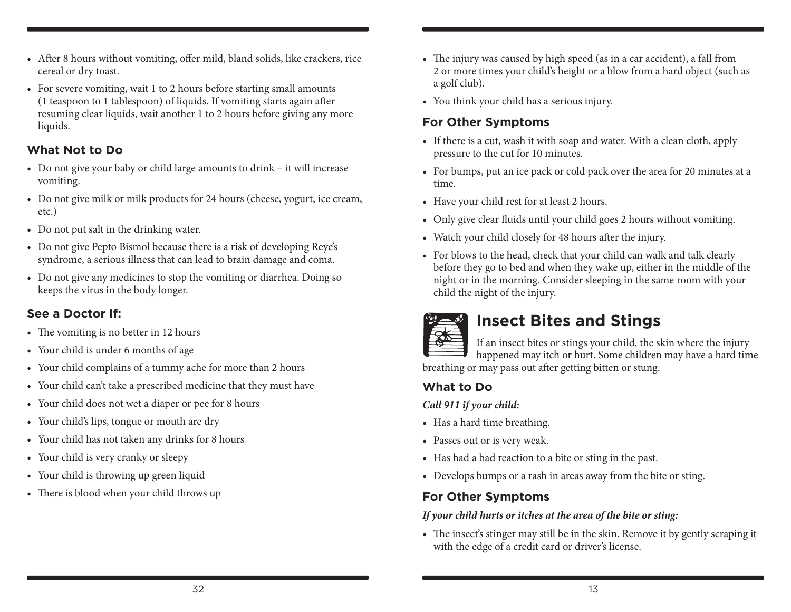- After 8 hours without vomiting, offer mild, bland solids, like crackers, rice cereal or dry toast.
- For severe vomiting, wait 1 to 2 hours before starting small amounts (1 teaspoon to 1 tablespoon) of liquids. If vomiting starts again after resuming clear liquids, wait another 1 to 2 hours before giving any more liquids.

### **What Not to Do**

- Do not give your baby or child large amounts to drink it will increase vomiting.
- Do not give milk or milk products for 24 hours (cheese, yogurt, ice cream, etc.)
- Do not put salt in the drinking water.
- Do not give Pepto Bismol because there is a risk of developing Reye's syndrome, a serious illness that can lead to brain damage and coma.
- Do not give any medicines to stop the vomiting or diarrhea. Doing so keeps the virus in the body longer.

### **See a Doctor If:**

- The vomiting is no better in 12 hours
- Your child is under 6 months of age
- Your child complains of a tummy ache for more than 2 hours
- Your child can't take a prescribed medicine that they must have
- Your child does not wet a diaper or pee for 8 hours
- • Your child's lips, tongue or mouth are dry
- Your child has not taken any drinks for 8 hours
- Your child is very cranky or sleepy
- • Your child is throwing up green liquid
- There is blood when your child throws up
- The injury was caused by high speed (as in a car accident), a fall from 2 or more times your child's height or a blow from a hard object (such as a golf club).
- • You think your child has a serious injury.

### **For Other Symptoms**

- If there is a cut, wash it with soap and water. With a clean cloth, apply pressure to the cut for 10 minutes.
- • For bumps, put an ice pack or cold pack over the area for 20 minutes at a time.
- Have your child rest for at least 2 hours.
- Only give clear fluids until your child goes 2 hours without vomiting.
- Watch your child closely for 48 hours after the injury.
- For blows to the head, check that your child can walk and talk clearly before they go to bed and when they wake up, either in the middle of the night or in the morning. Consider sleeping in the same room with your child the night of the injury.



## **Insect Bites and Stings**

If an insect bites or stings your child, the skin where the injury happened may itch or hurt. Some children may have a hard time breathing or may pass out after getting bitten or stung.

### **What to Do**

#### *Call 911 if your child:*

- Has a hard time breathing.
- Passes out or is very weak.
- • Has had a bad reaction to a bite or sting in the past.
- Develops bumps or a rash in areas away from the bite or sting.

### **For Other Symptoms**

#### *If your child hurts or itches at the area of the bite or sting:*

• The insect's stinger may still be in the skin. Remove it by gently scraping it with the edge of a credit card or driver's license.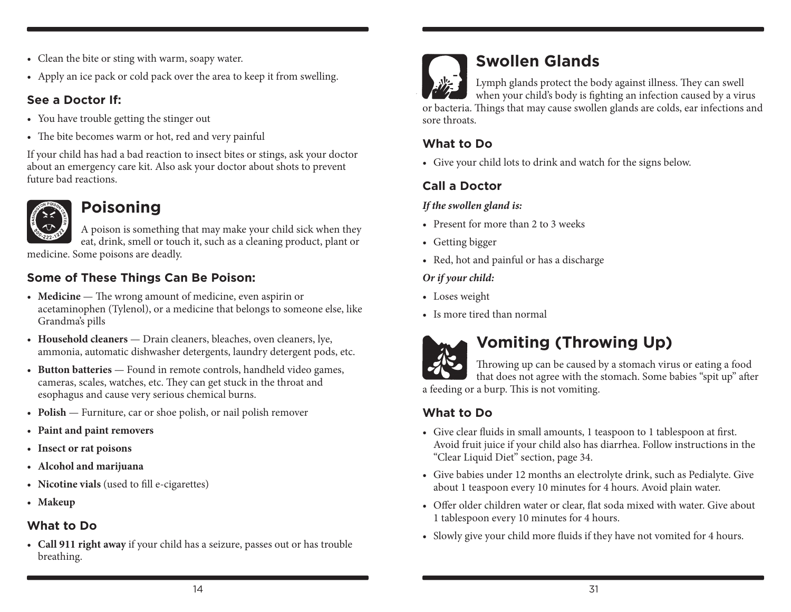- • Clean the bite or sting with warm, soapy water.
- Apply an ice pack or cold pack over the area to keep it from swelling.

#### **See a Doctor If:**

- You have trouble getting the stinger out
- The bite becomes warm or hot, red and very painful

If your child has had a bad reaction to insect bites or stings, ask your doctor about an emergency care kit. Also ask your doctor about shots to prevent future bad reactions.



## **Poisoning**

A poison is something that may make your child sick when they eat, drink, smell or touch it, such as a cleaning product, plant or

medicine. Some poisons are deadly.

### **Some of These Things Can Be Poison:**

- **Medicine** The wrong amount of medicine, even aspirin or acetaminophen (Tylenol), or a medicine that belongs to someone else, like Grandma's pills
- Household cleaners Drain cleaners, bleaches, oven cleaners, lye, ammonia, automatic dishwasher detergents, laundry detergent pods, etc.
- Button batteries Found in remote controls, handheld video games, cameras, scales, watches, etc. They can get stuck in the throat and esophagus and cause very serious chemical burns.
- **Polish** Furniture, car or shoe polish, or nail polish remover
- • **Paint and paint removers**
- • **Insect or rat poisons**
- • **Alcohol and marijuana**
- • **Nicotine vials** (used to fill e-cigarettes)
- • **Makeup**

### **What to Do**

• **Call 911 right away** if your child has a seizure, passes out or has trouble breathing.



## **Swollen Glands**

Lymph glands protect the body against illness. They can swell when your child's body is fighting an infection caused by a virus or bacteria. Things that may cause swollen glands are colds, ear infections and sore throats.

### **What to Do**

• Give your child lots to drink and watch for the signs below.

### **Call a Doctor**

#### *If the swollen gland is:*

- Present for more than 2 to 3 weeks
- Getting bigger
- Red, hot and painful or has a discharge

#### *Or if your child:*

- Loses weight
- Is more tired than normal



## **Vomiting (Throwing Up)**

Throwing up can be caused by a stomach virus or eating a food that does not agree with the stomach. Some babies "spit up" after a feeding or a burp. This is not vomiting.

**What to Do**

- • Give clear fluids in small amounts, 1 teaspoon to 1 tablespoon at first. Avoid fruit juice if your child also has diarrhea. Follow instructions in the "Clear Liquid Diet" section, page 34.
- • Give babies under 12 months an electrolyte drink, such as Pedialyte. Give about 1 teaspoon every 10 minutes for 4 hours. Avoid plain water.
- Offer older children water or clear, flat soda mixed with water. Give about 1 tablespoon every 10 minutes for 4 hours.
- Slowly give your child more fluids if they have not vomited for 4 hours.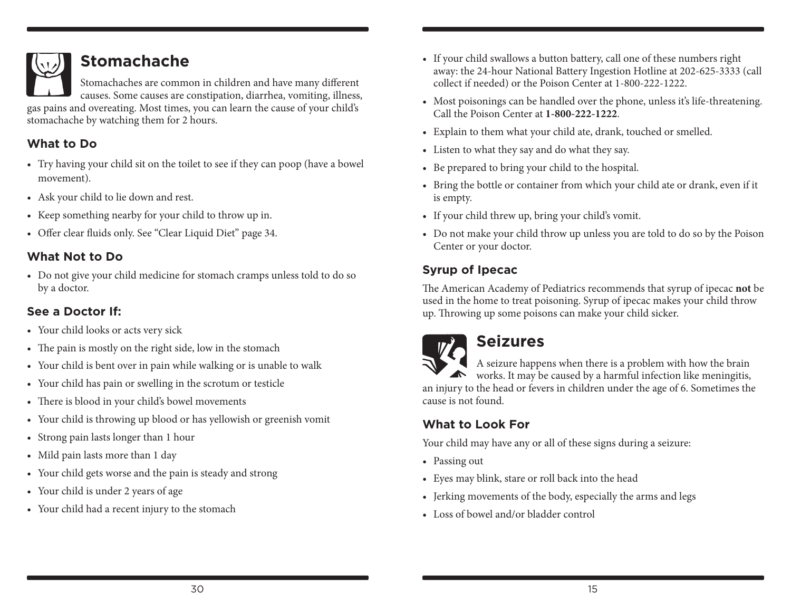

## **Stomachache**

Stomachaches are common in children and have many different causes. Some causes are constipation, diarrhea, vomiting, illness,

gas pains and overeating. Most times, you can learn the cause of your child's stomachache by watching them for 2 hours.

### **What to Do**

- Try having your child sit on the toilet to see if they can poop (have a bowel movement).
- • Ask your child to lie down and rest.
- • Keep something nearby for your child to throw up in.
- • Offer clear fluids only. See "Clear Liquid Diet" page 34.

### **What Not to Do**

• Do not give your child medicine for stomach cramps unless told to do so by a doctor.

### **See a Doctor If:**

- Your child looks or acts very sick
- The pain is mostly on the right side, low in the stomach
- Your child is bent over in pain while walking or is unable to walk
- • Your child has pain or swelling in the scrotum or testicle
- There is blood in your child's bowel movements
- Your child is throwing up blood or has yellowish or greenish vomit
- • Strong pain lasts longer than 1 hour
- Mild pain lasts more than 1 day
- Your child gets worse and the pain is steady and strong
- Your child is under 2 years of age
- • Your child had a recent injury to the stomach
- If your child swallows a button battery, call one of these numbers right away: the 24-hour National Battery Ingestion Hotline at 202-625-3333 (call collect if needed) or the Poison Center at 1-800-222-1222.
- Most poisonings can be handled over the phone, unless it's life-threatening. Call the Poison Center at **1-800-222-1222**.
- Explain to them what your child ate, drank, touched or smelled.
- • Listen to what they say and do what they say.
- • Be prepared to bring your child to the hospital.
- Bring the bottle or container from which your child ate or drank, even if it is empty.
- If your child threw up, bring your child's vomit.
- Do not make your child throw up unless you are told to do so by the Poison Center or your doctor.

### **Syrup of Ipecac**

The American Academy of Pediatrics recommends that syrup of ipecac **not** be used in the home to treat poisoning. Syrup of ipecac makes your child throw up. Throwing up some poisons can make your child sicker.



## **Seizures**

A seizure happens when there is a problem with how the brain works. It may be caused by a harmful infection like meningitis, an injury to the head or fevers in children under the age of 6. Sometimes the cause is not found.

### **What to Look For**

Your child may have any or all of these signs during a seizure:

- Passing out
- • Eyes may blink, stare or roll back into the head
- Jerking movements of the body, especially the arms and legs
- Loss of bowel and/or bladder control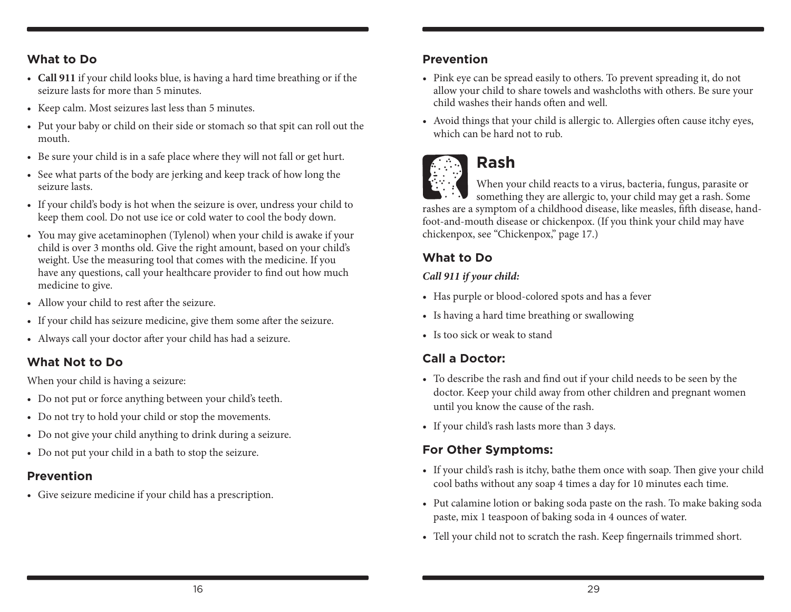#### **What to Do**

- • **Call 911** if your child looks blue, is having a hard time breathing or if the seizure lasts for more than 5 minutes.
- Keep calm. Most seizures last less than 5 minutes.
- Put your baby or child on their side or stomach so that spit can roll out the mouth.
- • Be sure your child is in a safe place where they will not fall or get hurt.
- See what parts of the body are jerking and keep track of how long the seizure lasts.
- If your child's body is hot when the seizure is over, undress your child to keep them cool. Do not use ice or cold water to cool the body down.
- You may give acetaminophen (Tylenol) when your child is awake if your child is over 3 months old. Give the right amount, based on your child's weight. Use the measuring tool that comes with the medicine. If you have any questions, call your healthcare provider to find out how much medicine to give.
- • Allow your child to rest after the seizure.
- If your child has seizure medicine, give them some after the seizure.
- • Always call your doctor after your child has had a seizure.

#### **What Not to Do**

When your child is having a seizure:

- • Do not put or force anything between your child's teeth.
- Do not try to hold your child or stop the movements.
- Do not give your child anything to drink during a seizure.
- • Do not put your child in a bath to stop the seizure.

#### **Prevention**

• Give seizure medicine if your child has a prescription.

#### **Prevention**

- Pink eye can be spread easily to others. To prevent spreading it, do not allow your child to share towels and washcloths with others. Be sure your child washes their hands often and well.
- Avoid things that your child is allergic to. Allergies often cause itchy eyes, which can be hard not to rub.



## **Rash**

When your child reacts to a virus, bacteria, fungus, parasite or something they are allergic to, your child may get a rash. Some rashes are a symptom of a childhood disease, like measles, fifth disease, handfoot-and-mouth disease or chickenpox. (If you think your child may have chickenpox, see "Chickenpox," page 17.)

### **What to Do**

#### *Call 911 if your child:*

- Has purple or blood-colored spots and has a fever
- • Is having a hard time breathing or swallowing
- Is too sick or weak to stand

### **Call a Doctor:**

- • To describe the rash and find out if your child needs to be seen by the doctor. Keep your child away from other children and pregnant women until you know the cause of the rash.
- • If your child's rash lasts more than 3 days.

### **For Other Symptoms:**

- If your child's rash is itchy, bathe them once with soap. Then give your child cool baths without any soap 4 times a day for 10 minutes each time.
- Put calamine lotion or baking soda paste on the rash. To make baking soda paste, mix 1 teaspoon of baking soda in 4 ounces of water.
- Tell your child not to scratch the rash. Keep fingernails trimmed short.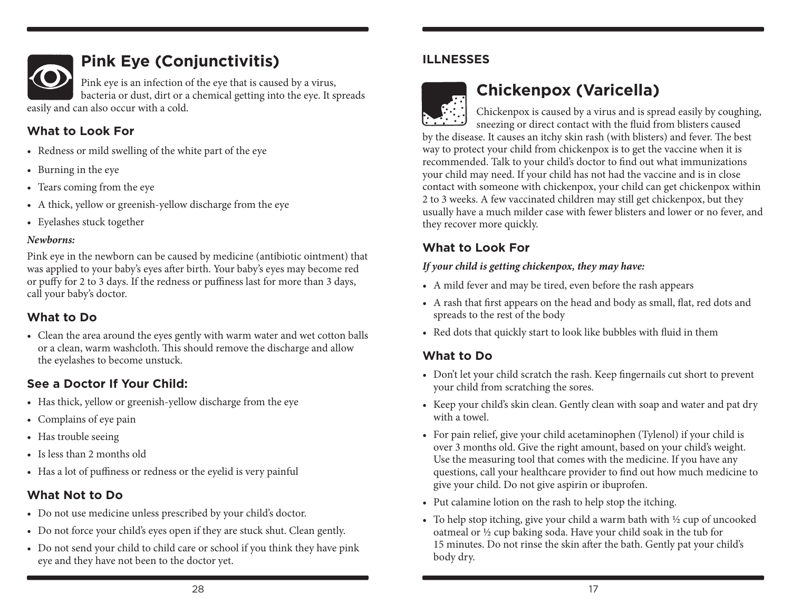

## **Pink Eye (Conjunctivitis)**

Pink eye is an infection of the eye that is caused by a virus, bacteria or dust, dirt or a chemical getting into the eye. It spreads easily and can also occur with a cold.

### **What to Look For**

- Redness or mild swelling of the white part of the eye
- • Burning in the eye
- • Tears coming from the eye
- A thick, yellow or greenish-yellow discharge from the eye
- • Eyelashes stuck together

#### *Newborns:*

Pink eye in the newborn can be caused by medicine (antibiotic ointment) that was applied to your baby's eyes after birth. Your baby's eyes may become red or puffy for 2 to 3 days. If the redness or puffiness last for more than 3 days, call your baby's doctor.

### **What to Do**

• Clean the area around the eyes gently with warm water and wet cotton balls or a clean, warm washcloth. This should remove the discharge and allow the eyelashes to become unstuck.

### **See a Doctor If Your Child:**

- Has thick, yellow or greenish-yellow discharge from the eye
- • Complains of eye pain
- Has trouble seeing
- Is less than 2 months old
- Has a lot of puffiness or redness or the eyelid is very painful

### **What Not to Do**

- Do not use medicine unless prescribed by your child's doctor.
- Do not force your child's eyes open if they are stuck shut. Clean gently.
- Do not send your child to child care or school if you think they have pink eye and they have not been to the doctor yet.

### **ILLNESSES**



## **Chickenpox (Varicella)**

Chickenpox is caused by a virus and is spread easily by coughing, sneezing or direct contact with the fluid from blisters caused by the disease. It causes an itchy skin rash (with blisters) and fever. The best way to protect your child from chickenpox is to get the vaccine when it is recommended. Talk to your child's doctor to find out what immunizations your child may need. If your child has not had the vaccine and is in close contact with someone with chickenpox, your child can get chickenpox within 2 to 3 weeks. A few vaccinated children may still get chickenpox, but they usually have a much milder case with fewer blisters and lower or no fever, and they recover more quickly.

### **What to Look For**

#### *If your child is getting chickenpox, they may have:*

- A mild fever and may be tired, even before the rash appears
- • A rash that first appears on the head and body as small, flat, red dots and spreads to the rest of the body
- Red dots that quickly start to look like bubbles with fluid in them

### **What to Do**

- Don't let your child scratch the rash. Keep fingernails cut short to prevent your child from scratching the sores.
- Keep your child's skin clean. Gently clean with soap and water and pat dry with a towel.
- For pain relief, give your child acetaminophen (Tylenol) if your child is over 3 months old. Give the right amount, based on your child's weight. Use the measuring tool that comes with the medicine. If you have any questions, call your healthcare provider to find out how much medicine to give your child. Do not give aspirin or ibuprofen.
- Put calamine lotion on the rash to help stop the itching.
- To help stop itching, give your child a warm bath with  $\frac{1}{2}$  cup of uncooked oatmeal or ½ cup baking soda. Have your child soak in the tub for 15 minutes. Do not rinse the skin after the bath. Gently pat your child's body dry.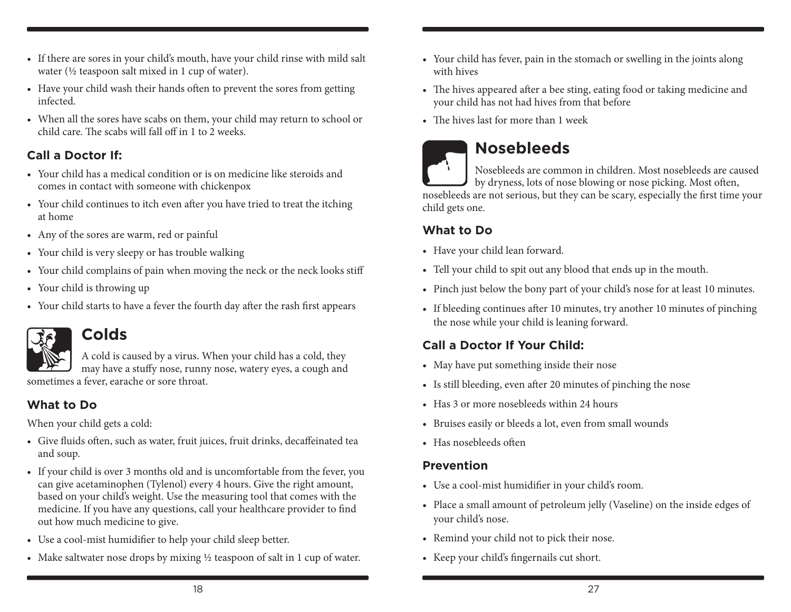- If there are sores in your child's mouth, have your child rinse with mild salt water (½ teaspoon salt mixed in 1 cup of water).
- Have your child wash their hands often to prevent the sores from getting infected.
- When all the sores have scabs on them, your child may return to school or child care. The scabs will fall off in 1 to 2 weeks.

### **Call a Doctor If:**

- Your child has a medical condition or is on medicine like steroids and comes in contact with someone with chickenpox
- Your child continues to itch even after you have tried to treat the itching at home
- • Any of the sores are warm, red or painful
- Your child is very sleepy or has trouble walking
- Your child complains of pain when moving the neck or the neck looks stiff
- Your child is throwing up
- Your child starts to have a fever the fourth day after the rash first appears



### **Colds**

A cold is caused by a virus. When your child has a cold, they may have a stuffy nose, runny nose, watery eyes, a cough and sometimes a fever, earache or sore throat.

### **What to Do**

When your child gets a cold:

- • Give fluids often, such as water, fruit juices, fruit drinks, decaffeinated tea and soup.
- If your child is over 3 months old and is uncomfortable from the fever, you can give acetaminophen (Tylenol) every 4 hours. Give the right amount, based on your child's weight. Use the measuring tool that comes with the medicine. If you have any questions, call your healthcare provider to find out how much medicine to give.
- • Use a cool-mist humidifier to help your child sleep better.
- Make saltwater nose drops by mixing  $\frac{1}{2}$  teaspoon of salt in 1 cup of water.
- Your child has fever, pain in the stomach or swelling in the joints along with hives
- The hives appeared after a bee sting, eating food or taking medicine and your child has not had hives from that before
- The hives last for more than 1 week



## **Nosebleeds**

Nosebleeds are common in children. Most nosebleeds are caused by dryness, lots of nose blowing or nose picking. Most often,

nosebleeds are not serious, but they can be scary, especially the first time your child gets one.

### **What to Do**

- Have your child lean forward.
- Tell your child to spit out any blood that ends up in the mouth.
- Pinch just below the bony part of your child's nose for at least 10 minutes.
- If bleeding continues after 10 minutes, try another 10 minutes of pinching the nose while your child is leaning forward.

### **Call a Doctor If Your Child:**

- May have put something inside their nose
- • Is still bleeding, even after 20 minutes of pinching the nose
- Has 3 or more nosebleeds within 24 hours
- • Bruises easily or bleeds a lot, even from small wounds
- Has nosebleeds often

### **Prevention**

- • Use a cool-mist humidifier in your child's room.
- Place a small amount of petroleum jelly (Vaseline) on the inside edges of your child's nose.
- Remind your child not to pick their nose.
- • Keep your child's fingernails cut short.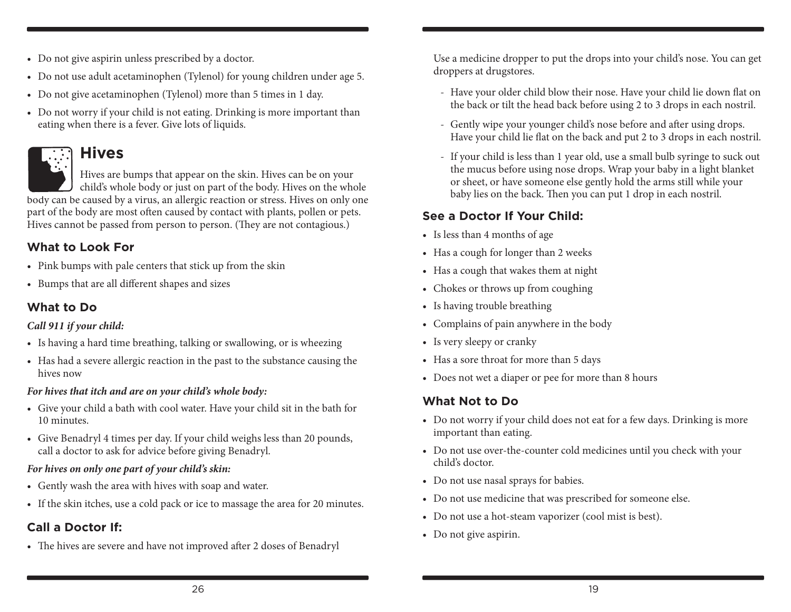- Do not give aspirin unless prescribed by a doctor.
- • Do not use adult acetaminophen (Tylenol) for young children under age 5.
- Do not give acetaminophen (Tylenol) more than 5 times in 1 day.
- Do not worry if your child is not eating. Drinking is more important than eating when there is a fever. Give lots of liquids.

## **Hives**

Hives are bumps that appear on the skin. Hives can be on your child's whole body or just on part of the body. Hives on the whole body can be caused by a virus, an allergic reaction or stress. Hives on only one part of the body are most often caused by contact with plants, pollen or pets.

Hives cannot be passed from person to person. (They are not contagious.)

### **What to Look For**

- Pink bumps with pale centers that stick up from the skin
- • Bumps that are all different shapes and sizes

### **What to Do**

#### *Call 911 if your child:*

- Is having a hard time breathing, talking or swallowing, or is wheezing
- • Has had a severe allergic reaction in the past to the substance causing the hives now

#### *For hives that itch and are on your child's whole body:*

- • Give your child a bath with cool water. Have your child sit in the bath for 10 minutes.
- • Give Benadryl 4 times per day. If your child weighs less than 20 pounds, call a doctor to ask for advice before giving Benadryl.

#### *For hives on only one part of your child's skin:*

- • Gently wash the area with hives with soap and water.
- If the skin itches, use a cold pack or ice to massage the area for 20 minutes.

### **Call a Doctor If:**

• The hives are severe and have not improved after 2 doses of Benadryl

Use a medicine dropper to put the drops into your child's nose. You can get droppers at drugstores.

- Have your older child blow their nose. Have your child lie down flat on the back or tilt the head back before using 2 to 3 drops in each nostril.
- Gently wipe your younger child's nose before and after using drops. Have your child lie flat on the back and put 2 to 3 drops in each nostril.
- If your child is less than 1 year old, use a small bulb syringe to suck out the mucus before using nose drops. Wrap your baby in a light blanket or sheet, or have someone else gently hold the arms still while your baby lies on the back. Then you can put 1 drop in each nostril.

### **See a Doctor If Your Child:**

- Is less than 4 months of age
- Has a cough for longer than 2 weeks
- Has a cough that wakes them at night
- Chokes or throws up from coughing
- Is having trouble breathing
- • Complains of pain anywhere in the body
- Is very sleepy or cranky
- Has a sore throat for more than 5 days
- Does not wet a diaper or pee for more than 8 hours

### **What Not to Do**

- • Do not worry if your child does not eat for a few days. Drinking is more important than eating.
- • Do not use over-the-counter cold medicines until you check with your child's doctor.
- Do not use nasal sprays for babies.
- Do not use medicine that was prescribed for someone else.
- • Do not use a hot-steam vaporizer (cool mist is best).
- Do not give aspirin.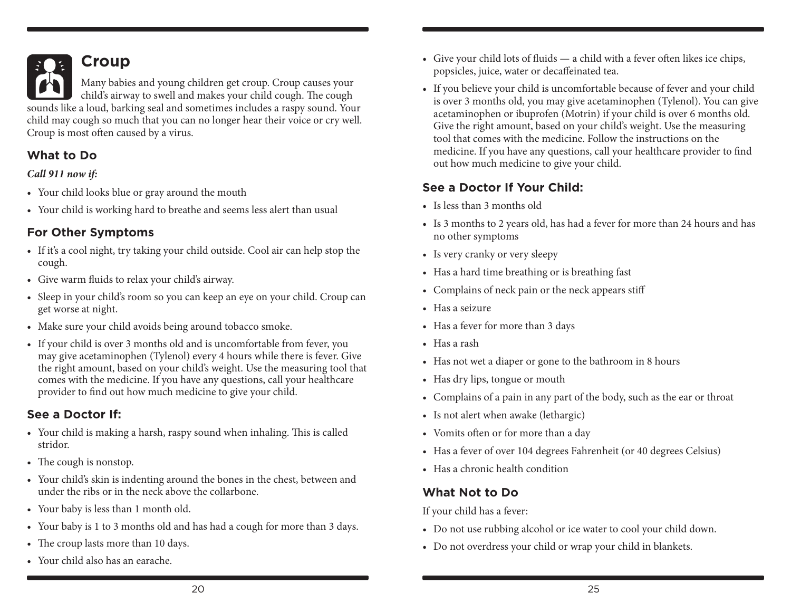

## **Croup**

Many babies and young children get croup. Croup causes your child's airway to swell and makes your child cough. The cough sounds like a loud, barking seal and sometimes includes a raspy sound. Your child may cough so much that you can no longer hear their voice or cry well. Croup is most often caused by a virus.

### **What to Do**

#### *Call 911 now if:*

- • Your child looks blue or gray around the mouth
- Your child is working hard to breathe and seems less alert than usual

### **For Other Symptoms**

- If it's a cool night, try taking your child outside. Cool air can help stop the cough.
- • Give warm fluids to relax your child's airway.
- Sleep in your child's room so you can keep an eye on your child. Croup can get worse at night.
- Make sure your child avoids being around tobacco smoke.
- If your child is over 3 months old and is uncomfortable from fever, you may give acetaminophen (Tylenol) every 4 hours while there is fever. Give the right amount, based on your child's weight. Use the measuring tool that comes with the medicine. If you have any questions, call your healthcare provider to find out how much medicine to give your child.

### **See a Doctor If:**

- Your child is making a harsh, raspy sound when inhaling. This is called stridor.
- The cough is nonstop.
- Your child's skin is indenting around the bones in the chest, between and under the ribs or in the neck above the collarbone.
- Your baby is less than 1 month old.
- Your baby is 1 to 3 months old and has had a cough for more than 3 days.
- The croup lasts more than 10 days.
- Your child also has an earache.
- Give your child lots of fluids a child with a fever often likes ice chips, popsicles, juice, water or decaffeinated tea.
- If you believe your child is uncomfortable because of fever and your child is over 3 months old, you may give acetaminophen (Tylenol). You can give acetaminophen or ibuprofen (Motrin) if your child is over 6 months old. Give the right amount, based on your child's weight. Use the measuring tool that comes with the medicine. Follow the instructions on the medicine. If you have any questions, call your healthcare provider to find out how much medicine to give your child.

### **See a Doctor If Your Child:**

- Is less than 3 months old
- Is 3 months to 2 years old, has had a fever for more than 24 hours and has no other symptoms
- Is very cranky or very sleepy
- Has a hard time breathing or is breathing fast
- • Complains of neck pain or the neck appears stiff
- Has a seizure
- Has a fever for more than 3 days
- Has a rash
- Has not wet a diaper or gone to the bathroom in 8 hours
- Has dry lips, tongue or mouth
- • Complains of a pain in any part of the body, such as the ear or throat
- • Is not alert when awake (lethargic)
- • Vomits often or for more than a day
- Has a fever of over 104 degrees Fahrenheit (or 40 degrees Celsius)
- Has a chronic health condition

### **What Not to Do**

If your child has a fever:

- Do not use rubbing alcohol or ice water to cool your child down.
- Do not overdress your child or wrap your child in blankets.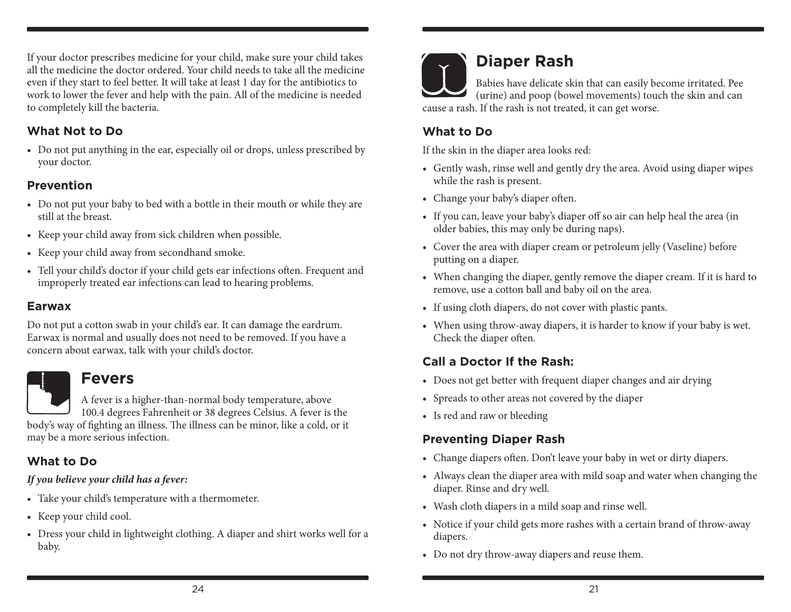If your doctor prescribes medicine for your child, make sure your child takes all the medicine the doctor ordered. Your child needs to take all the medicine even if they start to feel better. It will take at least 1 day for the antibiotics to work to lower the fever and help with the pain. All of the medicine is needed to completely kill the bacteria.

#### **What Not to Do**

• Do not put anything in the ear, especially oil or drops, unless prescribed by your doctor.

### **Prevention**

- Do not put your baby to bed with a bottle in their mouth or while they are still at the breast.
- Keep your child away from sick children when possible.
- • Keep your child away from secondhand smoke.
- • Tell your child's doctor if your child gets ear infections often. Frequent and improperly treated ear infections can lead to hearing problems.

#### **Earwax**

Do not put a cotton swab in your child's ear. It can damage the eardrum. Earwax is normal and usually does not need to be removed. If you have a concern about earwax, talk with your child's doctor.

### **Fevers**

A fever is a higher-than-normal body temperature, above 100.4 degrees Fahrenheit or 38 degrees Celsius. A fever is the body's way of fighting an illness. The illness can be minor, like a cold, or it may be a more serious infection.

### **What to Do**

#### *If you believe your child has a fever:*

- • Take your child's temperature with a thermometer.
- Keep your child cool.
- Dress your child in lightweight clothing. A diaper and shirt works well for a baby.



## **Diaper Rash**

Babies have delicate skin that can easily become irritated. Pee (urine) and poop (bowel movements) touch the skin and can cause a rash. If the rash is not treated, it can get worse.

### **What to Do**

If the skin in the diaper area looks red:

- • Gently wash, rinse well and gently dry the area. Avoid using diaper wipes while the rash is present.
- Change your baby's diaper often.
- If you can, leave your baby's diaper off so air can help heal the area (in older babies, this may only be during naps).
- Cover the area with diaper cream or petroleum jelly (Vaseline) before putting on a diaper.
- When changing the diaper, gently remove the diaper cream. If it is hard to remove, use a cotton ball and baby oil on the area.
- • If using cloth diapers, do not cover with plastic pants.
- When using throw-away diapers, it is harder to know if your baby is wet. Check the diaper often.

### **Call a Doctor If the Rash:**

- Does not get better with frequent diaper changes and air drying
- Spreads to other areas not covered by the diaper
- • Is red and raw or bleeding

### **Preventing Diaper Rash**

- • Change diapers often. Don't leave your baby in wet or dirty diapers.
- Always clean the diaper area with mild soap and water when changing the diaper. Rinse and dry well.
- • Wash cloth diapers in a mild soap and rinse well.
- Notice if your child gets more rashes with a certain brand of throw-away diapers.
- Do not dry throw-away diapers and reuse them.